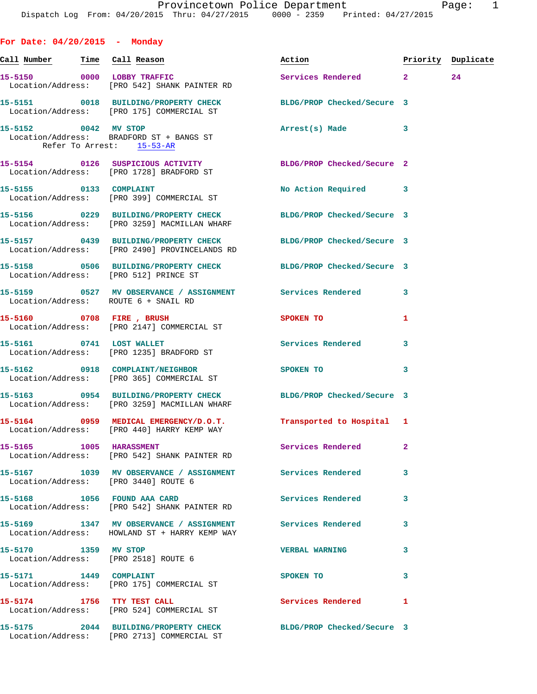**For Date: 04/20/2015 - Monday Call Number Time Call Reason Action Priority Duplicate 15-5150 0000 LOBBY TRAFFIC Services Rendered 2 24**  Location/Address: [PRO 542] SHANK PAINTER RD **15-5151 0018 BUILDING/PROPERTY CHECK BLDG/PROP Checked/Secure 3**  Location/Address: [PRO 175] COMMERCIAL ST **15-5152 0042 MV STOP Arrest(s) Made 3**  Location/Address: BRADFORD ST + BANGS ST Refer To Arrest: 15-53-AR **15-5154 0126 SUSPICIOUS ACTIVITY BLDG/PROP Checked/Secure 2**  Location/Address: [PRO 1728] BRADFORD ST **15-5155 0133 COMPLAINT No Action Required 3**  Location/Address: [PRO 399] COMMERCIAL ST **15-5156 0229 BUILDING/PROPERTY CHECK BLDG/PROP Checked/Secure 3**  Location/Address: [PRO 3259] MACMILLAN WHARF **15-5157 0439 BUILDING/PROPERTY CHECK BLDG/PROP Checked/Secure 3**  Location/Address: [PRO 2490] PROVINCELANDS RD **15-5158 0506 BUILDING/PROPERTY CHECK BLDG/PROP Checked/Secure 3**  Location/Address: [PRO 512] PRINCE ST **15-5159 0527 MV OBSERVANCE / ASSIGNMENT Services Rendered 3**  Location/Address: ROUTE 6 + SNAIL RD **15-5160 0708 FIRE , BRUSH SPOKEN TO 1**  Location/Address: [PRO 2147] COMMERCIAL ST 15-5161 0741 LOST WALLET **15-5161** Services Rendered 3 Location/Address: [PRO 1235] BRADFORD ST **15-5162 0918 COMPLAINT/NEIGHBOR SPOKEN TO 3**  Location/Address: [PRO 365] COMMERCIAL ST **15-5163 0954 BUILDING/PROPERTY CHECK BLDG/PROP Checked/Secure 3**  Location/Address: [PRO 3259] MACMILLAN WHARF **15-5164 0959 MEDICAL EMERGENCY/D.O.T. Transported to Hospital 1**  Location/Address: [PRO 440] HARRY KEMP WAY **15-5165 1005 HARASSMENT Services Rendered 2**  Location/Address: [PRO 542] SHANK PAINTER RD **15-5167 1039 MV OBSERVANCE / ASSIGNMENT Services Rendered 3**  Location/Address: [PRO 3440] ROUTE 6 **15-5168 1056 FOUND AAA CARD Services Rendered 3**  Location/Address: [PRO 542] SHANK PAINTER RD **15-5169 1347 MV OBSERVANCE / ASSIGNMENT Services Rendered 3**  Location/Address: HOWLAND ST + HARRY KEMP WAY **15-5170 1359 MV STOP VERBAL WARNING 3**  Location/Address: [PRO 2518] ROUTE 6 **15-5171 1449 COMPLAINT SPOKEN TO 3**  Location/Address: [PRO 175] COMMERCIAL ST **15-5174 1756 TTY TEST CALL Services Rendered 1** 

**15-5175 2044 BUILDING/PROPERTY CHECK BLDG/PROP Checked/Secure 3**  Location/Address: [PRO 2713] COMMERCIAL ST

Location/Address: [PRO 524] COMMERCIAL ST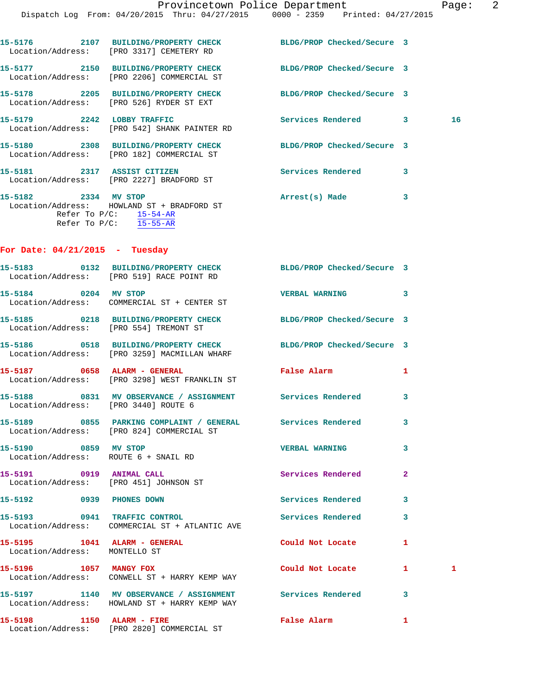|                                  | Dispatch Log From: 04/20/2015 Thru: 04/27/2015 0000 - 2359 Printed: 04/27/2015                                    |                            |                |    |
|----------------------------------|-------------------------------------------------------------------------------------------------------------------|----------------------------|----------------|----|
|                                  | 15-5176 2107 BUILDING/PROPERTY CHECK<br>Location/Address: [PRO 3317] CEMETERY RD                                  | BLDG/PROP Checked/Secure 3 |                |    |
|                                  | 15-5177 2150 BUILDING/PROPERTY CHECK<br>Location/Address: [PRO 2206] COMMERCIAL ST                                | BLDG/PROP Checked/Secure 3 |                |    |
|                                  | 15-5178 2205 BUILDING/PROPERTY CHECK<br>Location/Address: [PRO 526] RYDER ST EXT                                  | BLDG/PROP Checked/Secure 3 |                |    |
|                                  | 15-5179 2242 LOBBY TRAFFIC<br>Location/Address: [PRO 542] SHANK PAINTER RD                                        | Services Rendered 3        |                | 16 |
|                                  | 15-5180 2308 BUILDING/PROPERTY CHECK<br>Location/Address: [PRO 182] COMMERCIAL ST                                 | BLDG/PROP Checked/Secure 3 |                |    |
|                                  | 15-5181 2317 ASSIST CITIZEN<br>Location/Address: [PRO 2227] BRADFORD ST                                           | <b>Services Rendered</b>   | 3              |    |
| 15-5182 2334 MV STOP             | Location/Address: HOWLAND ST + BRADFORD ST<br>Refer To $P/C$ : 15-54-AR<br>Refer To $P/C$ : $\overline{15-55-AR}$ | Arrest(s) Made             | 3              |    |
| For Date: $04/21/2015$ - Tuesday |                                                                                                                   |                            |                |    |
|                                  | 15-5183 0132 BUILDING/PROPERTY CHECK BLDG/PROP Checked/Secure 3<br>Location/Address: [PRO 519] RACE POINT RD      |                            |                |    |
| 15-5184 0204 MV STOP             | Location/Address: COMMERCIAL ST + CENTER ST                                                                       | <b>VERBAL WARNING</b>      | 3              |    |
|                                  | 15-5185 0218 BUILDING/PROPERTY CHECK BLDG/PROP Checked/Secure 3<br>Location/Address: [PRO 554] TREMONT ST         |                            |                |    |
|                                  | 15-5186 0518 BUILDING/PROPERTY CHECK BLDG/PROP Checked/Secure 3<br>Location/Address: [PRO 3259] MACMILLAN WHARF   |                            |                |    |
|                                  | 15-5187 0658 ALARM - GENERAL<br>Location/Address: [PRO 3298] WEST FRANKLIN ST                                     | False Alarm                | 1              |    |
|                                  | 15-5188 0831 MV OBSERVANCE / ASSIGNMENT Services Rendered<br>Location/Address: [PRO 3440] ROUTE 6                 |                            | 3              |    |
|                                  | 15-5189 0855 PARKING COMPLAINT / GENERAL Services Rendered<br>Location/Address: [PRO 824] COMMERCIAL ST           |                            | 3              |    |
|                                  | 15-5190 0859 MV STOP<br>Location/Address: ROUTE 6 + SNAIL RD                                                      | VERBAL WARNING             | 3              |    |
| 15-5191 0919 ANIMAL CALL         | Location/Address: [PRO 451] JOHNSON ST                                                                            | Services Rendered          | $\overline{2}$ |    |
| 15-5192 0939 PHONES DOWN         |                                                                                                                   | Services Rendered          | 3              |    |
|                                  | 15-5193 0941 TRAFFIC CONTROL<br>Location/Address: COMMERCIAL ST + ATLANTIC AVE                                    | Services Rendered          | 3              |    |
| Location/Address: MONTELLO ST    | 15-5195 1041 ALARM - GENERAL                                                                                      | Could Not Locate           | 1              |    |
| 15-5196 1057 MANGY FOX           | Location/Address: CONWELL ST + HARRY KEMP WAY                                                                     | Could Not Locate           | 1.             | 1  |
|                                  | 15-5197 1140 MV OBSERVANCE / ASSIGNMENT Services Rendered<br>Location/Address: HOWLAND ST + HARRY KEMP WAY        |                            | 3              |    |
| 15-5198 1150 ALARM - FIRE        | Location/Address: [PRO 2820] COMMERCIAL ST                                                                        | False Alarm                | 1              |    |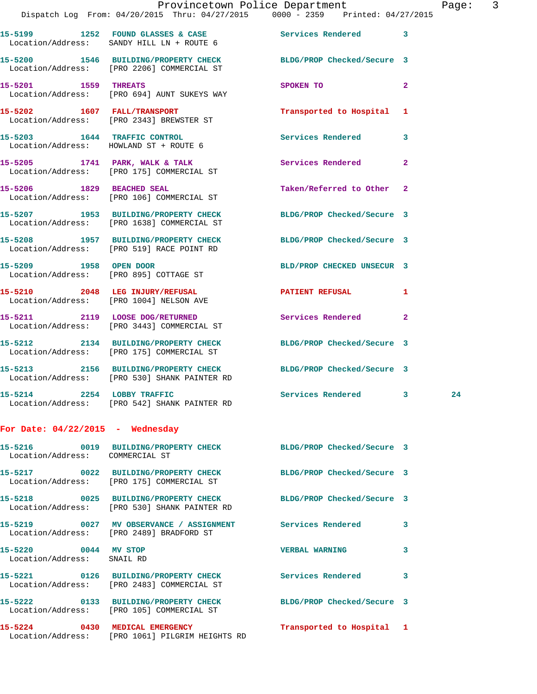|                                                    | Provincetown Police Department<br>Dispatch Log From: 04/20/2015 Thru: 04/27/2015 0000 - 2359 Printed: 04/27/2015 |                            |              | Page: 3 |  |
|----------------------------------------------------|------------------------------------------------------------------------------------------------------------------|----------------------------|--------------|---------|--|
|                                                    | 15-5199 1252 FOUND GLASSES & CASE Services Rendered 3<br>Location/Address: SANDY HILL LN + ROUTE 6               |                            |              |         |  |
|                                                    | 15-5200 1546 BUILDING/PROPERTY CHECK BLDG/PROP Checked/Secure 3<br>Location/Address: [PRO 2206] COMMERCIAL ST    |                            |              |         |  |
|                                                    | 15-5201 1559 THREATS<br>Location/Address: [PRO 694] AUNT SUKEYS WAY                                              | SPOKEN TO                  | $\mathbf{2}$ |         |  |
|                                                    | 15-5202 1607 FALL/TRANSPORT<br>Location/Address: [PRO 2343] BREWSTER ST                                          | Transported to Hospital 1  |              |         |  |
|                                                    | 15-5203 1644 TRAFFIC CONTROL<br>Location/Address: HOWLAND ST + ROUTE 6                                           | Services Rendered 3        |              |         |  |
|                                                    | 15-5205 1741 PARK, WALK & TALK Services Rendered<br>Location/Address: [PRO 175] COMMERCIAL ST                    |                            | $\mathbf{2}$ |         |  |
|                                                    | 15-5206 1829 BEACHED SEAL Taken/Referred to Other 2<br>Location/Address: [PRO 106] COMMERCIAL ST                 |                            |              |         |  |
|                                                    | 15-5207 1953 BUILDING/PROPERTY CHECK BLDG/PROP Checked/Secure 3<br>Location/Address: [PRO 1638] COMMERCIAL ST    |                            |              |         |  |
|                                                    | 15-5208 1957 BUILDING/PROPERTY CHECK BLDG/PROP Checked/Secure 3<br>Location/Address: [PRO 519] RACE POINT RD     |                            |              |         |  |
|                                                    | 15-5209 1958 OPEN DOOR<br>Location/Address: [PRO 895] COTTAGE ST                                                 | BLD/PROP CHECKED UNSECUR 3 |              |         |  |
|                                                    | 15-5210 2048 LEG INJURY/REFUSAL PATIENT REFUSAL 1<br>Location/Address: [PRO 1004] NELSON AVE                     |                            |              |         |  |
|                                                    | 15-5211 2119 LOOSE DOG/RETURNED Services Rendered 2<br>Location/Address: [PRO 3443] COMMERCIAL ST                |                            |              |         |  |
|                                                    | 15-5212 2134 BUILDING/PROPERTY CHECK BLDG/PROP Checked/Secure 3<br>Location/Address: [PRO 175] COMMERCIAL ST     |                            |              |         |  |
|                                                    | 15-5213 2156 BUILDING/PROPERTY CHECK BLDG/PROP Checked/Secure 3<br>Location/Address: [PRO 530] SHANK PAINTER RD  |                            |              |         |  |
|                                                    | 15-5214 2254 LOBBY TRAFFIC<br>Location/Address: [PRO 542] SHANK PAINTER RD                                       | Services Rendered 3        |              | 24      |  |
| For Date: $04/22/2015$ - Wednesday                 |                                                                                                                  |                            |              |         |  |
| Location/Address: COMMERCIAL ST                    | 15-5216 0019 BUILDING/PROPERTY CHECK BLDG/PROP Checked/Secure 3                                                  |                            |              |         |  |
|                                                    | 15-5217 0022 BUILDING/PROPERTY CHECK<br>Location/Address: [PRO 175] COMMERCIAL ST                                | BLDG/PROP Checked/Secure 3 |              |         |  |
|                                                    | 15-5218 0025 BUILDING/PROPERTY CHECK BLDG/PROP Checked/Secure 3<br>Location/Address: [PRO 530] SHANK PAINTER RD  |                            |              |         |  |
|                                                    | 15-5219 0027 MV OBSERVANCE / ASSIGNMENT Services Rendered<br>Location/Address: [PRO 2489] BRADFORD ST            |                            | 3            |         |  |
| 15-5220 0044 MV STOP<br>Location/Address: SNAIL RD |                                                                                                                  | <b>VERBAL WARNING</b>      | 3            |         |  |
|                                                    | 15-5221 0126 BUILDING/PROPERTY CHECK Services Rendered<br>Location/Address: [PRO 2483] COMMERCIAL ST             |                            | 3            |         |  |

Location/Address: [PRO 105] COMMERCIAL ST

**15-5224 0430 MEDICAL EMERGENCY Transported to Hospital 1**  Location/Address: [PRO 1061] PILGRIM HEIGHTS RD

**15-5222 0133 BUILDING/PROPERTY CHECK BLDG/PROP Checked/Secure 3**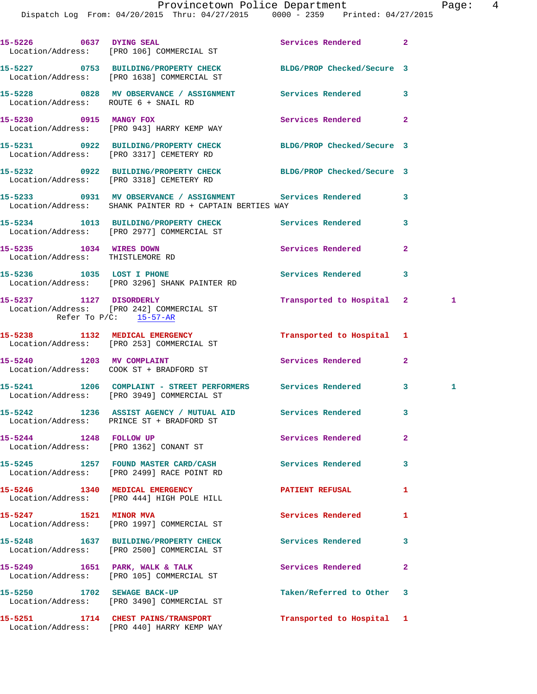| 15-5226 0637 DYING SEAL                                     | Location/Address: [PRO 106] COMMERCIAL ST                                                                  | Services Rendered          | $\overline{2}$ |   |
|-------------------------------------------------------------|------------------------------------------------------------------------------------------------------------|----------------------------|----------------|---|
|                                                             | 15-5227 0753 BUILDING/PROPERTY CHECK<br>Location/Address: [PRO 1638] COMMERCIAL ST                         | BLDG/PROP Checked/Secure 3 |                |   |
|                                                             | 15-5228 0828 MV OBSERVANCE / ASSIGNMENT<br>Location/Address: ROUTE 6 + SNAIL RD                            | Services Rendered          | 3              |   |
| 15-5230 0915 MANGY FOX                                      | Location/Address: [PRO 943] HARRY KEMP WAY                                                                 | Services Rendered          | $\mathbf{2}$   |   |
|                                                             | 15-5231 0922 BUILDING/PROPERTY CHECK<br>Location/Address: [PRO 3317] CEMETERY RD                           | BLDG/PROP Checked/Secure 3 |                |   |
|                                                             | 15-5232 0922 BUILDING/PROPERTY CHECK<br>Location/Address: [PRO 3318] CEMETERY RD                           | BLDG/PROP Checked/Secure 3 |                |   |
|                                                             | 15-5233 0931 MV OBSERVANCE / ASSIGNMENT<br>Location/Address: SHANK PAINTER RD + CAPTAIN BERTIES WAY        | <b>Services Rendered</b>   | 3              |   |
|                                                             | 15-5234 1013 BUILDING/PROPERTY CHECK<br>Location/Address: [PRO 2977] COMMERCIAL ST                         | Services Rendered          | 3              |   |
| 15-5235 1034 WIRES DOWN<br>Location/Address: THISTLEMORE RD |                                                                                                            | Services Rendered          | 2              |   |
| 15-5236 1035 LOST I PHONE                                   | Location/Address: [PRO 3296] SHANK PAINTER RD                                                              | Services Rendered          | 3              |   |
|                                                             | 15-5237 1127 DISORDERLY<br>Location/Address: [PRO 242] COMMERCIAL ST<br>Refer To $P/C$ : 15-57-AR          | Transported to Hospital 2  |                | 1 |
|                                                             | 15-5238 1132 MEDICAL EMERGENCY<br>Location/Address: [PRO 253] COMMERCIAL ST                                | Transported to Hospital 1  |                |   |
|                                                             | 15-5240 1203 MV COMPLAINT<br>Location/Address: COOK ST + BRADFORD ST                                       | Services Rendered          | $\overline{2}$ |   |
|                                                             | 15-5241 1206 COMPLAINT - STREET PERFORMERS Services Rendered<br>Location/Address: [PRO 3949] COMMERCIAL ST |                            | 3              | 1 |
| Location/Address:                                           | 15-5242 1236 ASSIST AGENCY / MUTUAL AID Services Rendered<br>PRINCE ST + BRADFORD ST                       |                            | 3              |   |
| 15-5244 1248 FOLLOW UP                                      | Location/Address: [PRO 1362] CONANT ST                                                                     | Services Rendered          | 2              |   |
|                                                             | 15-5245 1257 FOUND MASTER CARD/CASH<br>Location/Address: [PRO 2499] RACE POINT RD                          | <b>Services Rendered</b>   | 3              |   |
|                                                             | 15-5246 1340 MEDICAL EMERGENCY<br>Location/Address: [PRO 444] HIGH POLE HILL                               | <b>PATIENT REFUSAL</b>     | 1              |   |
| 15-5247 1521 MINOR MVA                                      | Location/Address: [PRO 1997] COMMERCIAL ST                                                                 | Services Rendered          | 1              |   |
|                                                             | 15-5248 1637 BUILDING/PROPERTY CHECK<br>Location/Address: [PRO 2500] COMMERCIAL ST                         | <b>Services Rendered</b>   | 3              |   |
|                                                             | 15-5249 1651 PARK, WALK & TALK<br>Location/Address: [PRO 105] COMMERCIAL ST                                | Services Rendered          | 2              |   |
| 15-5250 1702 SEWAGE BACK-UP                                 | Location/Address: [PRO 3490] COMMERCIAL ST                                                                 | Taken/Referred to Other    | 3              |   |
|                                                             | 15-5251 1714 CHEST PAINS/TRANSPORT<br>Location/Address: [PRO 440] HARRY KEMP WAY                           | Transported to Hospital 1  |                |   |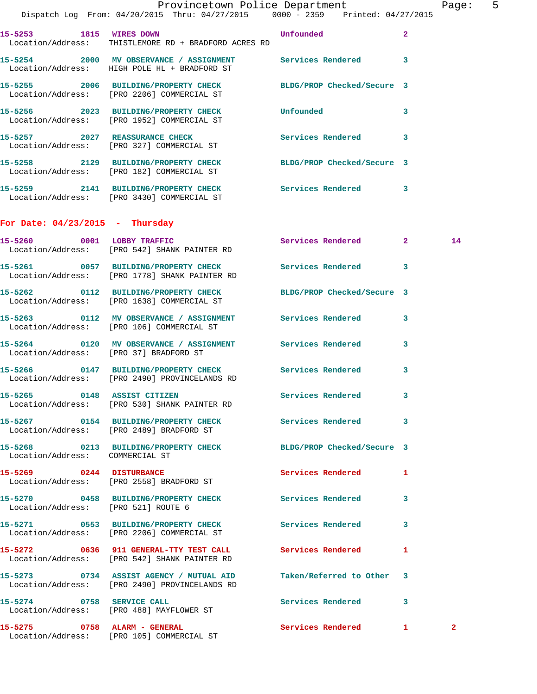|                                   | Dispatch Log From: 04/20/2015 Thru: 04/27/2015 0000 - 2359 Printed: 04/27/2015                                | Provincetown Police Department |              | Page: 5      |  |
|-----------------------------------|---------------------------------------------------------------------------------------------------------------|--------------------------------|--------------|--------------|--|
|                                   | 15-5253 1815 WIRES DOWN Unfounded<br>Location/Address: THISTLEMORE RD + BRADFORD ACRES RD                     |                                | $\mathbf{2}$ |              |  |
|                                   | 15-5254 2000 MV OBSERVANCE / ASSIGNMENT Services Rendered 3<br>Location/Address: HIGH POLE HL + BRADFORD ST   |                                |              |              |  |
|                                   | 15-5255 2006 BUILDING/PROPERTY CHECK BLDG/PROP Checked/Secure 3<br>Location/Address: [PRO 2206] COMMERCIAL ST |                                |              |              |  |
|                                   | 15-5256 2023 BUILDING/PROPERTY CHECK Unfounded<br>Location/Address: [PRO 1952] COMMERCIAL ST                  |                                | 3            |              |  |
|                                   | 15-5257 2027 REASSURANCE CHECK<br>Location/Address: [PRO 327] COMMERCIAL ST                                   | Services Rendered 3            |              |              |  |
|                                   | 15-5258 2129 BUILDING/PROPERTY CHECK BLDG/PROP Checked/Secure 3<br>Location/Address: [PRO 182] COMMERCIAL ST  |                                |              |              |  |
|                                   | 15-5259 2141 BUILDING/PROPERTY CHECK Services Rendered 3<br>Location/Address: [PRO 3430] COMMERCIAL ST        |                                |              |              |  |
| For Date: $04/23/2015$ - Thursday |                                                                                                               |                                |              |              |  |
|                                   | 15-5260 0001 LOBBY TRAFFIC<br>Location/Address: [PRO 542] SHANK PAINTER RD                                    | Services Rendered 2            |              | 14           |  |
|                                   | 15-5261 0057 BUILDING/PROPERTY CHECK Services Rendered<br>Location/Address: [PRO 1778] SHANK PAINTER RD       |                                | 3            |              |  |
|                                   | 15-5262 0112 BUILDING/PROPERTY CHECK BLDG/PROP Checked/Secure 3<br>Location/Address: [PRO 1638] COMMERCIAL ST |                                |              |              |  |
|                                   | 15-5263 0112 MV OBSERVANCE / ASSIGNMENT Services Rendered<br>Location/Address: [PRO 106] COMMERCIAL ST        |                                | 3            |              |  |
|                                   | 15-5264 0120 MV OBSERVANCE / ASSIGNMENT Services Rendered 3<br>Location/Address: [PRO 37] BRADFORD ST         |                                |              |              |  |
|                                   | 15-5266 0147 BUILDING/PROPERTY CHECK Services Rendered<br>Location/Address: [PRO 2490] PROVINCELANDS RD       |                                | 3            |              |  |
| 15-5265 0148 ASSIST CITIZEN       | Location/Address: [PRO 530] SHANK PAINTER RD                                                                  | Services Rendered 3            |              |              |  |
|                                   | 15-5267 		 0154 BUILDING/PROPERTY CHECK Services Rendered<br>Location/Address: [PRO 2489] BRADFORD ST         |                                | 3            |              |  |
| Location/Address: COMMERCIAL ST   | 15-5268 0213 BUILDING/PROPERTY CHECK BLDG/PROP Checked/Secure 3                                               |                                |              |              |  |
|                                   | 15-5269 0244 DISTURBANCE<br>Location/Address: [PRO 2558] BRADFORD ST                                          | Services Rendered              | 1            |              |  |
|                                   | 15-5270 0458 BUILDING/PROPERTY CHECK Services Rendered 3<br>Location/Address: [PRO 521] ROUTE 6               |                                |              |              |  |
|                                   | 15-5271 0553 BUILDING/PROPERTY CHECK Services Rendered<br>Location/Address: [PRO 2206] COMMERCIAL ST          |                                | 3            |              |  |
|                                   | 15-5272 0636 911 GENERAL-TTY TEST CALL 5ervices Rendered 1<br>Location/Address: [PRO 542] SHANK PAINTER RD    |                                |              |              |  |
|                                   | 15-5273 0734 ASSIST AGENCY / MUTUAL AID<br>Location/Address: [PRO 2490] PROVINCELANDS RD                      | Taken/Referred to Other 3      |              |              |  |
| 15-5274 0758 SERVICE CALL         | Location/Address: [PRO 488] MAYFLOWER ST                                                                      | Services Rendered 3            |              |              |  |
|                                   | 15-5275 0758 ALARM - GENERAL                                                                                  | Services Rendered 1            |              | $\mathbf{2}$ |  |

Location/Address: [PRO 105] COMMERCIAL ST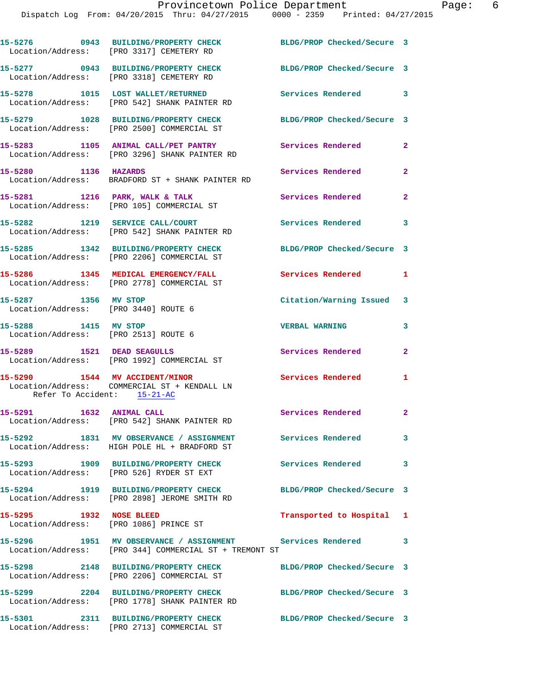|                             | 15-5276 0943 BUILDING/PROPERTY CHECK<br>Location/Address: [PRO 3317] CEMETERY RD                                      | BLDG/PROP Checked/Secure 3 |                         |
|-----------------------------|-----------------------------------------------------------------------------------------------------------------------|----------------------------|-------------------------|
|                             |                                                                                                                       | BLDG/PROP Checked/Secure 3 |                         |
|                             | 15-5278 1015 LOST WALLET/RETURNED<br>Location/Address: [PRO 542] SHANK PAINTER RD                                     | Services Rendered 3        |                         |
|                             | 15-5279 1028 BUILDING/PROPERTY CHECK<br>Location/Address: [PRO 2500] COMMERCIAL ST                                    | BLDG/PROP Checked/Secure 3 |                         |
|                             | 15-5283 1105 ANIMAL CALL/PET PANTRY<br>Location/Address: [PRO 3296] SHANK PAINTER RD                                  | <b>Services Rendered</b>   | $\overline{2}$          |
| 15-5280 1136 HAZARDS        | Location/Address: BRADFORD ST + SHANK PAINTER RD                                                                      | Services Rendered          | $\overline{2}$          |
|                             | 15-5281 1216 PARK, WALK & TALK<br>Location/Address: [PRO 105] COMMERCIAL ST                                           | Services Rendered          | $\overline{\mathbf{2}}$ |
|                             | 15-5282 1219 SERVICE CALL/COURT<br>Location/Address: [PRO 542] SHANK PAINTER RD                                       | Services Rendered 3        |                         |
|                             | 15-5285 1342 BUILDING/PROPERTY CHECK<br>Location/Address: [PRO 2206] COMMERCIAL ST                                    | BLDG/PROP Checked/Secure 3 |                         |
|                             | 15-5286 1345 MEDICAL EMERGENCY/FALL Services Rendered 1<br>Location/Address: [PRO 2778] COMMERCIAL ST                 |                            |                         |
|                             | 15-5287 1356 MV STOP<br>Location/Address: [PRO 3440] ROUTE 6                                                          | Citation/Warning Issued 3  |                         |
| 15-5288 1415 MV STOP        | Location/Address: [PRO 2513] ROUTE 6                                                                                  | <b>VERBAL WARNING</b>      | 3                       |
|                             | 15-5289 1521 DEAD SEAGULLS<br>Location/Address: [PRO 1992] COMMERCIAL ST                                              | Services Rendered          | $\mathbf{2}$            |
| Refer To Accident: 15-21-AC | 15-5290 1544 MV ACCIDENT/MINOR<br>Location/Address: COMMERCIAL ST + KENDALL LN                                        | Services Rendered          | 1                       |
| 15-5291 1632 ANIMAL CALL    | Location/Address: [PRO 542] SHANK PAINTER RD                                                                          | Services Rendered 2        |                         |
|                             | 15-5292 1831 MV OBSERVANCE / ASSIGNMENT Services Rendered<br>Location/Address: HIGH POLE HL + BRADFORD ST             |                            | $\mathbf{3}$            |
|                             | 15-5293 1909 BUILDING/PROPERTY CHECK<br>Location/Address: [PRO 526] RYDER ST EXT                                      | <b>Services Rendered</b>   | 3                       |
|                             | 15-5294 1919 BUILDING/PROPERTY CHECK BLDG/PROP Checked/Secure 3<br>Location/Address: [PRO 2898] JEROME SMITH RD       |                            |                         |
|                             | 15-5295 1932 NOSE BLEED<br>Location/Address: [PRO 1086] PRINCE ST                                                     | Transported to Hospital 1  |                         |
|                             | 15-5296 1951 MV OBSERVANCE / ASSIGNMENT Services Rendered 3<br>Location/Address: [PRO 344] COMMERCIAL ST + TREMONT ST |                            |                         |
|                             |                                                                                                                       | BLDG/PROP Checked/Secure 3 |                         |
|                             | 15-5299 2204 BUILDING/PROPERTY CHECK<br>Location/Address: [PRO 1778] SHANK PAINTER RD                                 | BLDG/PROP Checked/Secure 3 |                         |
|                             | 15-5301 2311 BUILDING/PROPERTY CHECK<br>Location/Address: [PRO 2713] COMMERCIAL ST                                    | BLDG/PROP Checked/Secure 3 |                         |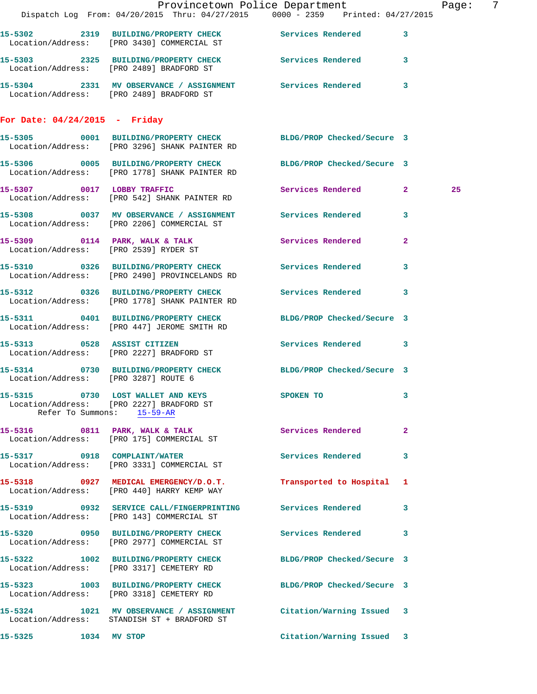|                                      |                                                                                                                  | Provincetown Police Department                                                 | Page: | - 7 |
|--------------------------------------|------------------------------------------------------------------------------------------------------------------|--------------------------------------------------------------------------------|-------|-----|
|                                      |                                                                                                                  | Dispatch Log From: 04/20/2015 Thru: 04/27/2015 0000 - 2359 Printed: 04/27/2015 |       |     |
|                                      | 15-5302 2319 BUILDING/PROPERTY CHECK Services Rendered 3<br>Location/Address: [PRO 3430] COMMERCIAL ST           |                                                                                |       |     |
|                                      | 15-5303 2325 BUILDING/PROPERTY CHECK Services Rendered 3<br>Location/Address: [PRO 2489] BRADFORD ST             |                                                                                |       |     |
|                                      | 15-5304 2331 MV OBSERVANCE / ASSIGNMENT Services Rendered 3<br>Location/Address: [PRO 2489] BRADFORD ST          |                                                                                |       |     |
| For Date: $04/24/2015$ - Friday      |                                                                                                                  |                                                                                |       |     |
|                                      | 15-5305 0001 BUILDING/PROPERTY CHECK BLDG/PROP Checked/Secure 3<br>Location/Address: [PRO 3296] SHANK PAINTER RD |                                                                                |       |     |
|                                      | 15-5306 0005 BUILDING/PROPERTY CHECK BLDG/PROP Checked/Secure 3<br>Location/Address: [PRO 1778] SHANK PAINTER RD |                                                                                |       |     |
|                                      | 15-5307 0017 LOBBY TRAFFIC<br>Location/Address: [PRO 542] SHANK PAINTER RD                                       | Services Rendered 2                                                            | 25    |     |
|                                      | 15-5308 0037 MV OBSERVANCE / ASSIGNMENT Services Rendered 3<br>Location/Address: [PRO 2206] COMMERCIAL ST        |                                                                                |       |     |
|                                      | 15-5309 0114 PARK, WALK & TALK 6 Services Rendered 2<br>Location/Address: [PRO 2539] RYDER ST                    |                                                                                |       |     |
|                                      | 15-5310 0326 BUILDING/PROPERTY CHECK Services Rendered 3<br>Location/Address: [PRO 2490] PROVINCELANDS RD        |                                                                                |       |     |
|                                      | 15-5312 0326 BUILDING/PROPERTY CHECK Services Rendered 3<br>Location/Address: [PRO 1778] SHANK PAINTER RD        |                                                                                |       |     |
|                                      | 15-5311 0401 BUILDING/PROPERTY CHECK<br>Location/Address: [PRO 447] JEROME SMITH RD                              | BLDG/PROP Checked/Secure 3                                                     |       |     |
|                                      | 15-5313 0528 ASSIST CITIZEN<br>Location/Address: [PRO 2227] BRADFORD ST                                          | Services Rendered 3                                                            |       |     |
| Location/Address: [PRO 3287] ROUTE 6 | 15-5314 0730 BUILDING/PROPERTY CHECK BLDG/PROP Checked/Secure 3                                                  |                                                                                |       |     |
|                                      | 15-5315 0730 LOST WALLET AND KEYS<br>Location/Address: [PRO 2227] BRADFORD ST<br>Refer To Summons: 15-59-AR      | <b>SPOKEN TO</b>                                                               |       |     |
|                                      | 15-5316 0811 PARK, WALK & TALK<br>Location/Address: [PRO 175] COMMERCIAL ST                                      | <b>Services Rendered</b><br>$\mathbf{2}$                                       |       |     |
|                                      | 15-5317 0918 COMPLAINT/WATER<br>Location/Address: [PRO 3331] COMMERCIAL ST                                       | Services Rendered 3                                                            |       |     |
|                                      | 15-5318 0927 MEDICAL EMERGENCY/D.O.T.<br>Location/Address: [PRO 440] HARRY KEMP WAY                              | Transported to Hospital 1                                                      |       |     |
|                                      | 15-5319 0932 SERVICE CALL/FINGERPRINTING<br>Location/Address: [PRO 143] COMMERCIAL ST                            | Services Rendered 3                                                            |       |     |
|                                      | 15-5320 0950 BUILDING/PROPERTY CHECK Services Rendered<br>Location/Address: [PRO 2977] COMMERCIAL ST             | 3                                                                              |       |     |
|                                      | 15-5322 1002 BUILDING/PROPERTY CHECK BLDG/PROP Checked/Secure 3<br>Location/Address: [PRO 3317] CEMETERY RD      |                                                                                |       |     |
|                                      | 15-5323 1003 BUILDING/PROPERTY CHECK<br>Location/Address: [PRO 3318] CEMETERY RD                                 | BLDG/PROP Checked/Secure 3                                                     |       |     |
|                                      | 15-5324 1021 MV OBSERVANCE / ASSIGNMENT<br>Location/Address: STANDISH ST + BRADFORD ST                           | Citation/Warning Issued 3                                                      |       |     |
| 15-5325 1034 MV STOP                 |                                                                                                                  | Citation/Warning Issued 3                                                      |       |     |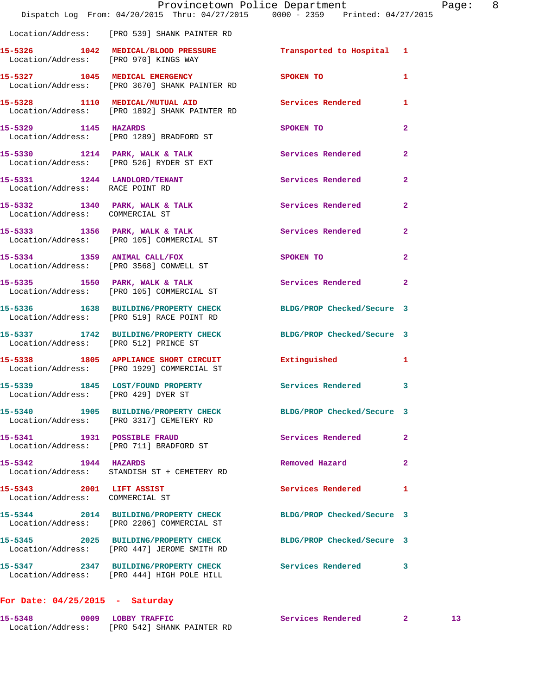|                                                             |                                                                                     | Provincetown Police Department<br>Dispatch Log From: 04/20/2015 Thru: 04/27/2015 0000 - 2359 Printed: 04/27/2015                                                                                                              | Page: 8        |
|-------------------------------------------------------------|-------------------------------------------------------------------------------------|-------------------------------------------------------------------------------------------------------------------------------------------------------------------------------------------------------------------------------|----------------|
|                                                             | Location/Address: [PRO 539] SHANK PAINTER RD                                        |                                                                                                                                                                                                                               |                |
|                                                             |                                                                                     | 15-5326 1042 MEDICAL/BLOOD PRESSURE Transported to Hospital 1 Location/Address: [PRO 970] KINGS WAY                                                                                                                           |                |
|                                                             | 15-5327 1045 MEDICAL EMERGENCY<br>Location/Address: [PRO 3670] SHANK PAINTER RD     | SPOKEN TO                                                                                                                                                                                                                     | 1              |
|                                                             | 15-5328 1110 MEDICAL/MUTUAL AID<br>Location/Address: [PRO 1892] SHANK PAINTER RD    | Services Rendered 1                                                                                                                                                                                                           |                |
| 15-5329 1145 HAZARDS                                        | Location/Address: [PRO 1289] BRADFORD ST                                            | SPOKEN TO AND THE SPOKEN OF THE STATE OF THE SPOKEN OF THE STATE OF THE SPOKEN OF THE STATE OF THE STATE OF THE STATE OF THE STATE OF THE STATE OF THE STATE OF THE STATE OF THE STATE OF THE STATE OF THE STATE OF THE STATE | $\overline{2}$ |
|                                                             | Location/Address: [PRO 526] RYDER ST EXT                                            | 15-5330 1214 PARK, WALK & TALK 3 Services Rendered                                                                                                                                                                            | $\mathbf{2}$   |
| Location/Address: RACE POINT RD                             |                                                                                     | 15-5331 1244 LANDLORD/TENANT Services Rendered                                                                                                                                                                                | $\mathbf{2}$   |
| Location/Address: COMMERCIAL ST                             |                                                                                     | 15-5332 1340 PARK, WALK & TALK 6 Services Rendered 2                                                                                                                                                                          |                |
|                                                             | Location/Address: [PRO 105] COMMERCIAL ST                                           | 15-5333 1356 PARK, WALK & TALK 1997 Services Rendered                                                                                                                                                                         | $\overline{2}$ |
|                                                             | Location/Address: [PRO 3568] CONWELL ST                                             | 15-5334 1359 ANIMAL CALL/FOX SPOKEN TO                                                                                                                                                                                        | $\overline{2}$ |
|                                                             | Location/Address: [PRO 105] COMMERCIAL ST                                           | 15-5335 1550 PARK, WALK & TALK 6 Services Rendered 2                                                                                                                                                                          |                |
|                                                             | Location/Address: [PRO 519] RACE POINT RD                                           | 15-5336 1638 BUILDING/PROPERTY CHECK BLDG/PROP Checked/Secure 3                                                                                                                                                               |                |
| Location/Address: [PRO 512] PRINCE ST                       |                                                                                     | 15-5337 1742 BUILDING/PROPERTY CHECK BLDG/PROP Checked/Secure 3                                                                                                                                                               |                |
|                                                             | 15-5338 1805 APPLIANCE SHORT CIRCUIT<br>Location/Address: [PRO 1929] COMMERCIAL ST  | Extinguished                                                                                                                                                                                                                  | 1              |
| Location/Address: [PRO 429] DYER ST                         |                                                                                     | 15-5339 1845 LOST/FOUND PROPERTY Services Rendered 3                                                                                                                                                                          |                |
|                                                             | Location/Address: [PRO 3317] CEMETERY RD                                            | 15-5340 1905 BUILDING/PROPERTY CHECK BLDG/PROP Checked/Secure 3                                                                                                                                                               |                |
|                                                             | 15-5341 1931 POSSIBLE FRAUD<br>Location/Address: [PRO 711] BRADFORD ST              | Services Rendered                                                                                                                                                                                                             | $\mathbf{2}$   |
| 15-5342 1944 HAZARDS                                        | Location/Address: STANDISH ST + CEMETERY RD                                         | Removed Hazard                                                                                                                                                                                                                | $\mathbf{2}$   |
| 15-5343 2001 LIFT ASSIST<br>Location/Address: COMMERCIAL ST |                                                                                     | Services Rendered                                                                                                                                                                                                             | 1              |
|                                                             | 15-5344 2014 BUILDING/PROPERTY CHECK<br>Location/Address: [PRO 2206] COMMERCIAL ST  | BLDG/PROP Checked/Secure 3                                                                                                                                                                                                    |                |
|                                                             | 15-5345 2025 BUILDING/PROPERTY CHECK<br>Location/Address: [PRO 447] JEROME SMITH RD | BLDG/PROP Checked/Secure 3                                                                                                                                                                                                    |                |
|                                                             | Location/Address: [PRO 444] HIGH POLE HILL                                          | 15-5347 2347 BUILDING/PROPERTY CHECK Services Rendered 3                                                                                                                                                                      |                |
| $\text{For } \text{Data: } 04/25/2015 = \text{Cathindex}$   |                                                                                     |                                                                                                                                                                                                                               |                |

## **For Date: 04/25/2015 - Saturday**

| $15 - 5348$       | 0009 LOBBY TRAFFIC         | Services Rendered |  |
|-------------------|----------------------------|-------------------|--|
| Location/Address: | [PRO 542] SHANK PAINTER RD |                   |  |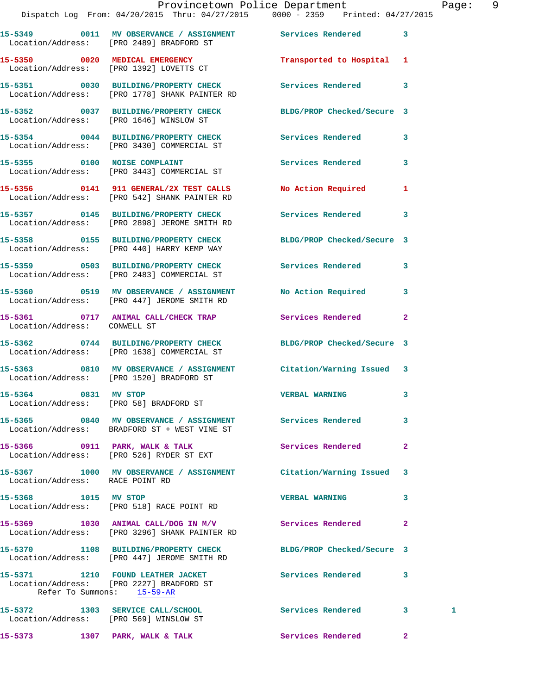|                                                                |                                                                                                                                 | Provincetown Police Department |              | Page: 9 |  |
|----------------------------------------------------------------|---------------------------------------------------------------------------------------------------------------------------------|--------------------------------|--------------|---------|--|
|                                                                | Dispatch Log From: 04/20/2015 Thru: 04/27/2015 0000 - 2359 Printed: 04/27/2015                                                  |                                |              |         |  |
|                                                                | 15-5349 0011 MV OBSERVANCE / ASSIGNMENT Services Rendered 3<br>Location/Address: [PRO 2489] BRADFORD ST                         |                                |              |         |  |
|                                                                | 15-5350 0020 MEDICAL EMERGENCY Transported to Hospital 1<br>Location/Address: [PRO 1392] LOVETTS CT                             |                                |              |         |  |
|                                                                | 15-5351 0030 BUILDING/PROPERTY CHECK Services Rendered 3<br>Location/Address: [PRO 1778] SHANK PAINTER RD                       |                                |              |         |  |
|                                                                | 15-5352 0037 BUILDING/PROPERTY CHECK BLDG/PROP Checked/Secure 3<br>Location/Address: [PRO 1646] WINSLOW ST                      |                                |              |         |  |
|                                                                | 15-5354 0044 BUILDING/PROPERTY CHECK Services Rendered 3<br>Location/Address: [PRO 3430] COMMERCIAL ST                          |                                |              |         |  |
|                                                                | 15-5355 0100 NOISE COMPLAINT<br>Location/Address: [PRO 3443] COMMERCIAL ST                                                      | Services Rendered 3            |              |         |  |
|                                                                | 15-5356 0141 911 GENERAL/2X TEST CALLS No Action Required 1<br>Location/Address: [PRO 542] SHANK PAINTER RD                     |                                |              |         |  |
|                                                                | 15-5357 0145 BUILDING/PROPERTY CHECK Services Rendered 3<br>Location/Address: [PRO 2898] JEROME SMITH RD                        |                                |              |         |  |
|                                                                | 15-5358 0155 BUILDING/PROPERTY CHECK BLDG/PROP Checked/Secure 3<br>Location/Address: [PRO 440] HARRY KEMP WAY                   |                                |              |         |  |
|                                                                | 15-5359 0503 BUILDING/PROPERTY CHECK<br>Location/Address: [PRO 2483] COMMERCIAL ST                                              | Services Rendered 3            |              |         |  |
|                                                                | 15-5360 0519 MV OBSERVANCE / ASSIGNMENT No Action Required 3<br>Location/Address: [PRO 447] JEROME SMITH RD                     |                                |              |         |  |
|                                                                | 15-5361 0717 ANIMAL CALL/CHECK TRAP Services Rendered 2<br>Location/Address: CONWELL ST                                         |                                |              |         |  |
|                                                                | 15-5362 0744 BUILDING/PROPERTY CHECK BLDG/PROP Checked/Secure 3<br>Location/Address: [PRO 1638] COMMERCIAL ST                   |                                |              |         |  |
|                                                                | 15-5363 0810 MV OBSERVANCE / ASSIGNMENT Citation/Warning Issued 3<br>Location/Address: [PRO 1520] BRADFORD ST                   |                                |              |         |  |
| 15-5364 0831 MV STOP<br>Location/Address: [PRO 58] BRADFORD ST |                                                                                                                                 | <b>VERBAL WARNING</b>          |              |         |  |
|                                                                | 15-5365 0840 MV OBSERVANCE / ASSIGNMENT Services Rendered 3<br>Location/Address: BRADFORD ST + WEST VINE ST                     |                                |              |         |  |
|                                                                | 15-5366 0911 PARK, WALK & TALK<br>Location/Address: [PRO 526] RYDER ST EXT                                                      | Services Rendered 2            |              |         |  |
| Location/Address: RACE POINT RD                                | 15-5367 1000 MV OBSERVANCE / ASSIGNMENT Citation/Warning Issued 3                                                               |                                |              |         |  |
| 15-5368 1015 MV STOP                                           | Location/Address: [PRO 518] RACE POINT RD                                                                                       | VERBAL WARNING 3               |              |         |  |
|                                                                | 15-5369 1030 ANIMAL CALL/DOG IN M/V Services Rendered<br>Location/Address: [PRO 3296] SHANK PAINTER RD                          |                                | $\mathbf{2}$ |         |  |
|                                                                | 15-5370 1108 BUILDING/PROPERTY CHECK BLDG/PROP Checked/Secure 3<br>Location/Address: [PRO 447] JEROME SMITH RD                  |                                |              |         |  |
|                                                                | 15-5371 1210 FOUND LEATHER JACKET Services Rendered 3<br>Location/Address: [PRO 2227] BRADFORD ST<br>Refer To Summons: 15-59-AR |                                |              |         |  |
| Location/Address: [PRO 569] WINSLOW ST                         | 15-5372 1303 SERVICE CALL/SCHOOL                                                                                                | Services Rendered 3            |              | 1       |  |
| 15-5373 1307 PARK, WALK & TALK                                 |                                                                                                                                 | <b>Services Rendered</b> 2     |              |         |  |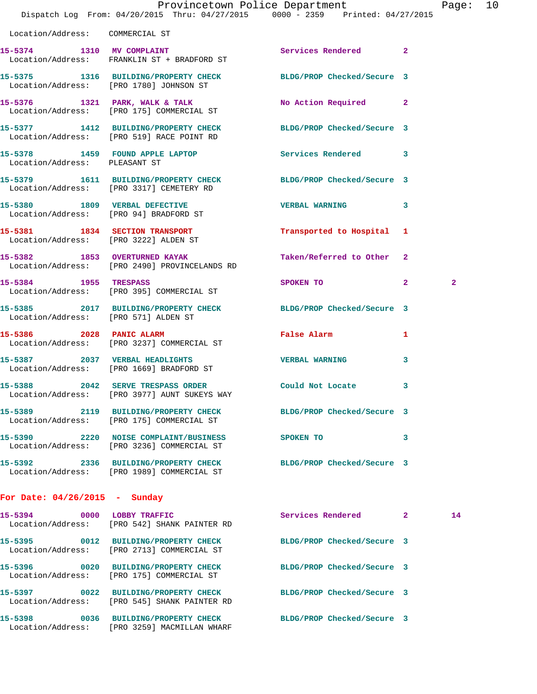|                                      | Dispatch Log From: 04/20/2015 Thru: 04/27/2015 0000 - 2359 Printed: 04/27/2015                                | Provincetown Police Department  |              | Page: 10       |  |
|--------------------------------------|---------------------------------------------------------------------------------------------------------------|---------------------------------|--------------|----------------|--|
| Location/Address: COMMERCIAL ST      |                                                                                                               |                                 |              |                |  |
|                                      | 15-5374 1310 MV COMPLAINT<br>Location/Address: FRANKLIN ST + BRADFORD ST                                      | Services Rendered 2             |              |                |  |
|                                      | 15-5375 1316 BUILDING/PROPERTY CHECK BLDG/PROP Checked/Secure 3<br>Location/Address: [PRO 1780] JOHNSON ST    |                                 |              |                |  |
|                                      | 15-5376 1321 PARK, WALK & TALK<br>Location/Address: [PRO 175] COMMERCIAL ST                                   | No Action Required 2            |              |                |  |
|                                      | 15-5377 1412 BUILDING/PROPERTY CHECK BLDG/PROP Checked/Secure 3<br>Location/Address: [PRO 519] RACE POINT RD  |                                 |              |                |  |
| Location/Address: PLEASANT ST        | 15-5378 1459 FOUND APPLE LAPTOP 1 Services Rendered 3                                                         |                                 |              |                |  |
|                                      | 15-5379 1611 BUILDING/PROPERTY CHECK BLDG/PROP Checked/Secure 3<br>Location/Address: [PRO 3317] CEMETERY RD   |                                 |              |                |  |
|                                      | 15-5380 1809 VERBAL DEFECTIVE<br>Location/Address: [PRO 94] BRADFORD ST                                       | VERBAL WARNING 3                |              |                |  |
|                                      | 15-5381 1834 SECTION TRANSPORT<br>Location/Address: [PRO 3222] ALDEN ST                                       | Transported to Hospital 1       |              |                |  |
|                                      | 15-5382 1853 OVERTURNED KAYAK<br>Location/Address: [PRO 2490] PROVINCELANDS RD                                | Taken/Referred to Other 2       |              |                |  |
| 15-5384 1955 TRESPASS                | Location/Address: [PRO 395] COMMERCIAL ST                                                                     | SPOKEN TO 2                     |              | $\overline{2}$ |  |
| Location/Address: [PRO 571] ALDEN ST | 15-5385 2017 BUILDING/PROPERTY CHECK BLDG/PROP Checked/Secure 3                                               |                                 |              |                |  |
| 15-5386 2028 PANIC ALARM             | Location/Address: [PRO 3237] COMMERCIAL ST                                                                    | False Alarm <b>Example 2018</b> | $\mathbf{1}$ |                |  |
|                                      | 15-5387 2037 VERBAL HEADLIGHTS<br>Location/Address: [PRO 1669] BRADFORD ST                                    | <b>VERBAL WARNING</b>           | $\mathbf{3}$ |                |  |
|                                      | 15-5388 2042 SERVE TRESPASS ORDER<br>Location/Address: [PRO 3977] AUNT SUKEYS WAY                             | Could Not Locate                |              |                |  |
|                                      | 15-5389 2119 BUILDING/PROPERTY CHECK BLDG/PROP Checked/Secure 3<br>Location/Address: [PRO 175] COMMERCIAL ST  |                                 |              |                |  |
|                                      | 15-5390 2220 NOISE COMPLAINT/BUSINESS<br>Location/Address: [PRO 3236] COMMERCIAL ST                           | SPOKEN TO                       | 3            |                |  |
|                                      | 15-5392 2336 BUILDING/PROPERTY CHECK BLDG/PROP Checked/Secure 3<br>Location/Address: [PRO 1989] COMMERCIAL ST |                                 |              |                |  |
| For Date: $04/26/2015$ - Sunday      |                                                                                                               |                                 |              |                |  |
|                                      | 15-5394 0000 LOBBY TRAFFIC<br>Location/Address: [PRO 542] SHANK PAINTER RD                                    | Services Rendered 2             |              | 14             |  |
|                                      | 15-5395 0012 BUILDING/PROPERTY CHECK BLDG/PROP Checked/Secure 3<br>Location/Address: [PRO 2713] COMMERCIAL ST |                                 |              |                |  |
|                                      | 15-5396 0020 BUILDING/PROPERTY CHECK<br>Location/Address: [PRO 175] COMMERCIAL ST                             | BLDG/PROP Checked/Secure 3      |              |                |  |
|                                      | 15-5397 0022 BUILDING/PROPERTY CHECK BLDG/PROP Checked/Secure 3                                               |                                 |              |                |  |

**15-5398 0036 BUILDING/PROPERTY CHECK BLDG/PROP Checked/Secure 3**  Location/Address: [PRO 3259] MACMILLAN WHARF

Location/Address: [PRO 545] SHANK PAINTER RD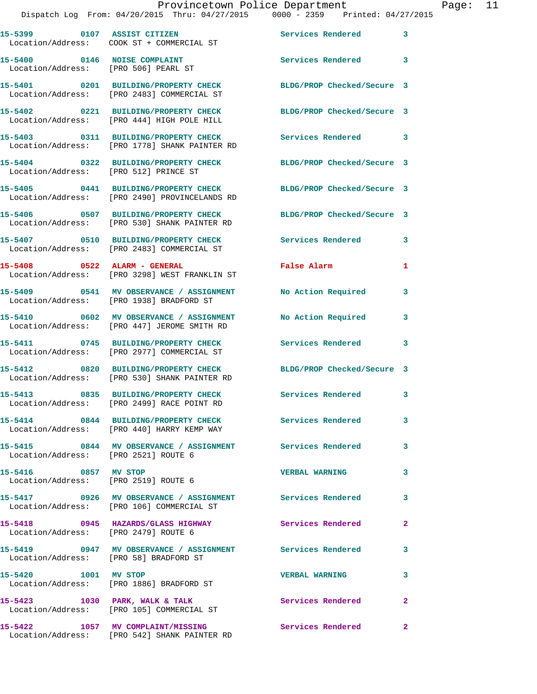|                                        | Dispatch Log From: 04/20/2015 Thru: 04/27/2015 0000 - 2359 Printed: 04/27/2015                                   | Provincetown Police Department              |              | Page: 11 |  |
|----------------------------------------|------------------------------------------------------------------------------------------------------------------|---------------------------------------------|--------------|----------|--|
|                                        | 15-5399 0107 ASSIST CITIZEN<br>Location/Address: COOK ST + COMMERCIAL ST                                         | Services Rendered 3                         |              |          |  |
|                                        | 15-5400 0146 NOISE COMPLAINT Services Rendered 3<br>Location/Address: [PRO 506] PEARL ST                         |                                             |              |          |  |
|                                        | 15-5401 0201 BUILDING/PROPERTY CHECK BLDG/PROP Checked/Secure 3<br>Location/Address: [PRO 2483] COMMERCIAL ST    |                                             |              |          |  |
|                                        | 15-5402 0221 BUILDING/PROPERTY CHECK BLDG/PROP Checked/Secure 3<br>Location/Address: [PRO 444] HIGH POLE HILL    |                                             |              |          |  |
|                                        | 15-5403 0311 BUILDING/PROPERTY CHECK Services Rendered 3<br>Location/Address: [PRO 1778] SHANK PAINTER RD        |                                             |              |          |  |
|                                        | 15-5404 0322 BUILDING/PROPERTY CHECK BLDG/PROP Checked/Secure 3<br>Location/Address: [PRO 512] PRINCE ST         |                                             |              |          |  |
|                                        | 15-5405 0441 BUILDING/PROPERTY CHECK BLDG/PROP Checked/Secure 3<br>Location/Address: [PRO 2490] PROVINCELANDS RD |                                             |              |          |  |
|                                        | 15-5406 0507 BUILDING/PROPERTY CHECK BLDG/PROP Checked/Secure 3<br>Location/Address: [PRO 530] SHANK PAINTER RD  |                                             |              |          |  |
|                                        | 15-5407 0510 BUILDING/PROPERTY CHECK Services Rendered 3<br>Location/Address: [PRO 2483] COMMERCIAL ST           |                                             |              |          |  |
|                                        | 15-5408 0522 ALARM - GENERAL<br>Location/Address: [PRO 3298] WEST FRANKLIN ST                                    | False Alarm <b>Exercise Service Service</b> | 1            |          |  |
|                                        | 15-5409 0541 MV OBSERVANCE / ASSIGNMENT No Action Required 3<br>Location/Address: [PRO 1938] BRADFORD ST         |                                             |              |          |  |
|                                        | 15-5410 0602 MV OBSERVANCE / ASSIGNMENT<br>Location/Address: [PRO 447] JEROME SMITH RD                           | No Action Required                          | 3            |          |  |
|                                        | 15-5411 0745 BUILDING/PROPERTY CHECK Services Rendered 3<br>Location/Address: [PRO 2977] COMMERCIAL ST           |                                             |              |          |  |
|                                        | 15-5412 0820 BUILDING/PROPERTY CHECK BLDG/PROP Checked/Secure 3<br>Location/Address: [PRO 530] SHANK PAINTER RD  |                                             |              |          |  |
|                                        | 15-5413 0835 BUILDING/PROPERTY CHECK<br>Location/Address: [PRO 2499] RACE POINT RD                               | Services Rendered                           |              |          |  |
|                                        | 15-5414 0844 BUILDING/PROPERTY CHECK Services Rendered<br>Location/Address: [PRO 440] HARRY KEMP WAY             |                                             | 3            |          |  |
| Location/Address: [PRO 2521] ROUTE 6   | 15-5415 0844 MV OBSERVANCE / ASSIGNMENT Services Rendered 3                                                      |                                             |              |          |  |
| 15-5416 0857 MV STOP                   | Location/Address: [PRO 2519] ROUTE 6                                                                             | <b>VERBAL WARNING</b>                       | 3            |          |  |
|                                        | 15-5417 0926 MV OBSERVANCE / ASSIGNMENT Services Rendered 3<br>Location/Address: [PRO 106] COMMERCIAL ST         |                                             |              |          |  |
| Location/Address: [PRO 2479] ROUTE 6   | 15-5418 0945 HAZARDS/GLASS HIGHWAY Services Rendered                                                             |                                             | $\mathbf{2}$ |          |  |
| Location/Address: [PRO 58] BRADFORD ST | 15-5419 0947 MV OBSERVANCE / ASSIGNMENT Services Rendered 3                                                      |                                             |              |          |  |
|                                        | 15-5420 1001 MV STOP<br>Location/Address: [PRO 1886] BRADFORD ST                                                 | <b>VERBAL WARNING</b>                       | 3            |          |  |
|                                        | 15-5423 1030 PARK, WALK & TALK<br>Location/Address: [PRO 105] COMMERCIAL ST                                      | Services Rendered                           | $\mathbf{2}$ |          |  |
|                                        | 15-5422 1057 MV COMPLAINT/MISSING Services Rendered 2                                                            |                                             |              |          |  |

Location/Address: [PRO 542] SHANK PAINTER RD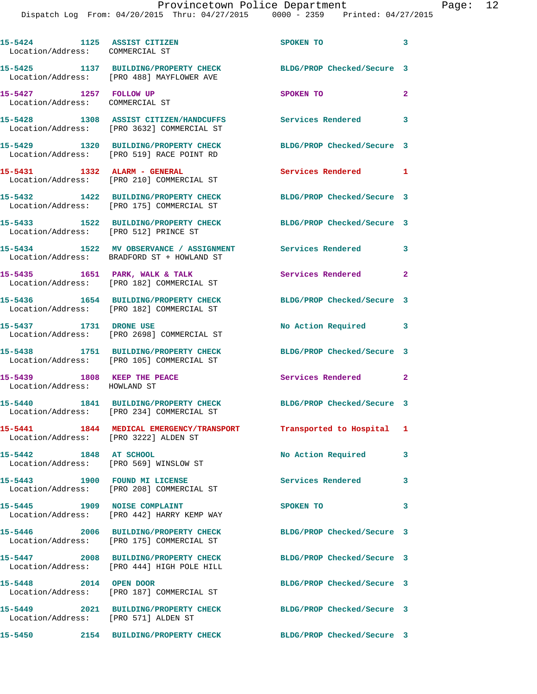| 15-5424 1125 ASSIST CITIZEN<br>Location/Address: COMMERCIAL ST |                                                                                       | SPOKEN TO                  | $\overline{\phantom{a}}$ 3 |
|----------------------------------------------------------------|---------------------------------------------------------------------------------------|----------------------------|----------------------------|
|                                                                | 15-5425 1137 BUILDING/PROPERTY CHECK<br>Location/Address: [PRO 488] MAYFLOWER AVE     | BLDG/PROP Checked/Secure 3 |                            |
| 15-5427 1257 FOLLOW UP<br>Location/Address: COMMERCIAL ST      |                                                                                       | SPOKEN TO                  | $\overline{2}$             |
|                                                                | 15-5428 1308 ASSIST CITIZEN/HANDCUFFS<br>Location/Address: [PRO 3632] COMMERCIAL ST   | <b>Services Rendered</b> 3 |                            |
|                                                                | 15-5429 1320 BUILDING/PROPERTY CHECK<br>Location/Address: [PRO 519] RACE POINT RD     | BLDG/PROP Checked/Secure 3 |                            |
| 15-5431 1332 ALARM - GENERAL                                   | Location/Address: [PRO 210] COMMERCIAL ST                                             | Services Rendered 1        |                            |
|                                                                | 15-5432 1422 BUILDING/PROPERTY CHECK<br>Location/Address: [PRO 175] COMMERCIAL ST     | BLDG/PROP Checked/Secure 3 |                            |
| Location/Address: [PRO 512] PRINCE ST                          | 15-5433 1522 BUILDING/PROPERTY CHECK                                                  | BLDG/PROP Checked/Secure 3 |                            |
|                                                                | 15-5434 1522 MV OBSERVANCE / ASSIGNMENT<br>Location/Address: BRADFORD ST + HOWLAND ST | Services Rendered 3        |                            |
|                                                                | 15-5435 1651 PARK, WALK & TALK<br>Location/Address: [PRO 182] COMMERCIAL ST           | Services Rendered 2        |                            |
|                                                                | 15-5436 1654 BUILDING/PROPERTY CHECK<br>Location/Address: [PRO 182] COMMERCIAL ST     | BLDG/PROP Checked/Secure 3 |                            |
| 15-5437 1731 DRONE USE                                         | Location/Address: [PRO 2698] COMMERCIAL ST                                            | No Action Required         | 3                          |
|                                                                | 15-5438 1751 BUILDING/PROPERTY CHECK<br>Location/Address: [PRO 105] COMMERCIAL ST     | BLDG/PROP Checked/Secure 3 |                            |
| 15-5439 1808 KEEP THE PEACE<br>Location/Address: HOWLAND ST    |                                                                                       | Services Rendered 2        |                            |
|                                                                | 15-5440 1841 BUILDING/PROPERTY CHECK<br>Location/Address: [PRO 234] COMMERCIAL ST     | BLDG/PROP Checked/Secure 3 |                            |
| Location/Address: [PRO 3222] ALDEN ST                          | 15-5441 1844 MEDICAL EMERGENCY/TRANSPORT                                              | Transported to Hospital 1  |                            |
| 15-5442 1848 AT SCHOOL                                         | Location/Address: [PRO 569] WINSLOW ST                                                | No Action Required         | 3                          |
|                                                                | 15-5443 1900 FOUND MI LICENSE<br>Location/Address: [PRO 208] COMMERCIAL ST            | <b>Services Rendered</b>   | 3                          |
| 15-5445 1909 NOISE COMPLAINT                                   | Location/Address: [PRO 442] HARRY KEMP WAY                                            | SPOKEN TO                  | 3                          |
|                                                                | 15-5446 2006 BUILDING/PROPERTY CHECK<br>Location/Address: [PRO 175] COMMERCIAL ST     | BLDG/PROP Checked/Secure 3 |                            |
|                                                                | 15-5447 2008 BUILDING/PROPERTY CHECK<br>Location/Address: [PRO 444] HIGH POLE HILL    | BLDG/PROP Checked/Secure 3 |                            |
| 15-5448 2014 OPEN DOOR                                         | Location/Address: [PRO 187] COMMERCIAL ST                                             | BLDG/PROP Checked/Secure 3 |                            |
| Location/Address: [PRO 571] ALDEN ST                           | 15-5449 2021 BUILDING/PROPERTY CHECK                                                  | BLDG/PROP Checked/Secure 3 |                            |
| 15-5450                                                        | 2154 BUILDING/PROPERTY CHECK                                                          | BLDG/PROP Checked/Secure 3 |                            |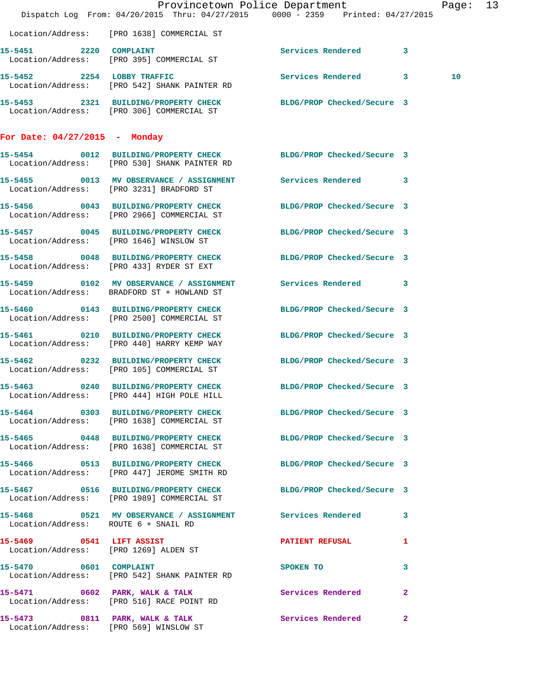|                                      | Dispatch Log From: 04/20/2015 Thru: 04/27/2015 0000 - 2359 Printed: 04/27/2015                                         | Provincetown Police Department |              | Page: 13        |  |
|--------------------------------------|------------------------------------------------------------------------------------------------------------------------|--------------------------------|--------------|-----------------|--|
|                                      | Location/Address: [PRO 1638] COMMERCIAL ST                                                                             |                                |              |                 |  |
| 15-5451 2220 COMPLAINT               | Location/Address: [PRO 395] COMMERCIAL ST                                                                              | Services Rendered 3            |              |                 |  |
|                                      | 15-5452 2254 LOBBY TRAFFIC<br>Location/Address: [PRO 542] SHANK PAINTER RD                                             | Services Rendered 3            |              | 10 <sup>°</sup> |  |
|                                      | 15-5453 2321 BUILDING/PROPERTY CHECK BLDG/PROP Checked/Secure 3<br>Location/Address: [PRO 306] COMMERCIAL ST           |                                |              |                 |  |
| For Date: $04/27/2015$ - Monday      |                                                                                                                        |                                |              |                 |  |
|                                      | 15-5454 0012 BUILDING/PROPERTY CHECK BLDG/PROP Checked/Secure 3<br>Location/Address: [PRO 530] SHANK PAINTER RD        |                                |              |                 |  |
|                                      | 15-5455 0013 MV OBSERVANCE / ASSIGNMENT Services Rendered 3<br>Location/Address: [PRO 3231] BRADFORD ST                |                                |              |                 |  |
|                                      | 15-5456 0043 BUILDING/PROPERTY CHECK<br>Location/Address: [PRO 2966] COMMERCIAL ST                                     | BLDG/PROP Checked/Secure 3     |              |                 |  |
|                                      | 15-5457 0045 BUILDING/PROPERTY CHECK<br>Location/Address: [PRO 1646] WINSLOW ST                                        | BLDG/PROP Checked/Secure 3     |              |                 |  |
|                                      | 15-5458 0048 BUILDING/PROPERTY CHECK<br>Location/Address: [PRO 433] RYDER ST EXT                                       | BLDG/PROP Checked/Secure 3     |              |                 |  |
|                                      | Location/Address: BRADFORD ST + HOWLAND ST                                                                             |                                |              |                 |  |
|                                      | 15-5460 0143 BUILDING/PROPERTY CHECK<br>Location/Address: [PRO 2500] COMMERCIAL ST                                     | BLDG/PROP Checked/Secure 3     |              |                 |  |
|                                      | 15-5461 0210 BUILDING/PROPERTY CHECK<br>Location/Address: [PRO 440] HARRY KEMP WAY                                     | BLDG/PROP Checked/Secure 3     |              |                 |  |
|                                      | 15-5462 0232 BUILDING/PROPERTY CHECK<br>Location/Address: [PRO 105] COMMERCIAL ST                                      | BLDG/PROP Checked/Secure 3     |              |                 |  |
| 15-5463                              | 0240 BUILDING/PROPERTY CHECK BLDG/PROP Checked/Secure 3<br>Location/Address: [PRO 444] HIGH POLE HILL                  |                                |              |                 |  |
|                                      | 15-5464 0303 BUILDING/PROPERTY CHECK BLDG/PROP Checked/Secure 3<br>Location/Address: [PRO 1638] COMMERCIAL ST          |                                |              |                 |  |
|                                      | 15-5465 0448 BUILDING/PROPERTY CHECK BLDG/PROP Checked/Secure 3<br>Location/Address: [PRO 1638] COMMERCIAL ST          |                                |              |                 |  |
|                                      | 15-5466 0513 BUILDING/PROPERTY CHECK BLDG/PROP Checked/Secure 3<br>Location/Address: [PRO 447] JEROME SMITH RD         |                                |              |                 |  |
|                                      | 15-5467 			 0516 BUILDING/PROPERTY CHECK 					BLDG/PROP Checked/Secure 3<br>Location/Address: [PRO 1989] COMMERCIAL ST |                                |              |                 |  |
| Location/Address: ROUTE 6 + SNAIL RD | 15-5468 0521 MV OBSERVANCE / ASSIGNMENT Services Rendered 3                                                            |                                |              |                 |  |
| 15-5469 0541 LIFT ASSIST             | Location/Address: [PRO 1269] ALDEN ST                                                                                  | PATIENT REFUSAL 1              |              |                 |  |
|                                      | 15-5470 0601 COMPLAINT<br>Location/Address: [PRO 542] SHANK PAINTER RD                                                 | SPOKEN TO                      | $\mathbf{3}$ |                 |  |
|                                      | 15-5471 0602 PARK, WALK & TALK 3 Services Rendered 2<br>Location/Address: [PRO 516] RACE POINT RD                      |                                |              |                 |  |
|                                      | 15-5473 0811 PARK, WALK & TALK 6 Services Rendered 2<br>Location/Address: [PRO 569] WINSLOW ST                         |                                |              |                 |  |